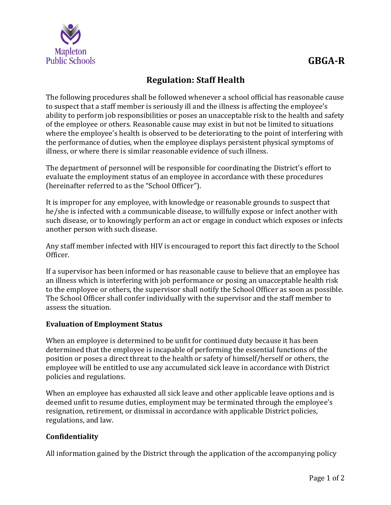

## **Regulation: Staff Health**

The following procedures shall be followed whenever a school official has reasonable cause to suspect that a staff member is seriously ill and the illness is affecting the employee's ability to perform job responsibilities or poses an unacceptable risk to the health and safety of the employee or others. Reasonable cause may exist in but not be limited to situations where the employee's health is observed to be deteriorating to the point of interfering with the performance of duties, when the employee displays persistent physical symptoms of illness, or where there is similar reasonable evidence of such illness.

The department of personnel will be responsible for coordinating the District's effort to evaluate the employment status of an employee in accordance with these procedures (hereinafter referred to as the "School Officer").

It is improper for any employee, with knowledge or reasonable grounds to suspect that he/she is infected with a communicable disease, to willfully expose or infect another with such disease, or to knowingly perform an act or engage in conduct which exposes or infects another person with such disease.

Any staff member infected with HIV is encouraged to report this fact directly to the School Officer.

If a supervisor has been informed or has reasonable cause to believe that an employee has an illness which is interfering with job performance or posing an unacceptable health risk to the employee or others, the supervisor shall notify the School Officer as soon as possible. The School Officer shall confer individually with the supervisor and the staff member to assess the situation.

## **Evaluation of Employment Status**

When an employee is determined to be unfit for continued duty because it has been determined that the employee is incapable of performing the essential functions of the position or poses a direct threat to the health or safety of himself/herself or others, the employee will be entitled to use any accumulated sick leave in accordance with District policies and regulations.

When an employee has exhausted all sick leave and other applicable leave options and is deemed unfit to resume duties, employment may be terminated through the employee's resignation, retirement, or dismissal in accordance with applicable District policies, regulations, and law.

## **Confidentiality**

All information gained by the District through the application of the accompanying policy